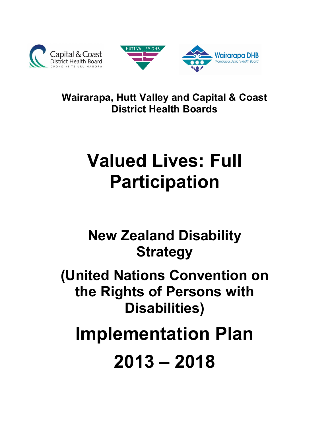



**Wairarapa, Hutt Valley and Capital & Coast District Health Boards**

# **Valued Lives: Full Participation**

**New Zealand Disability Strategy**

**(United Nations Convention on the Rights of Persons with Disabilities)**

**Implementation Plan**

**2013 – 2018**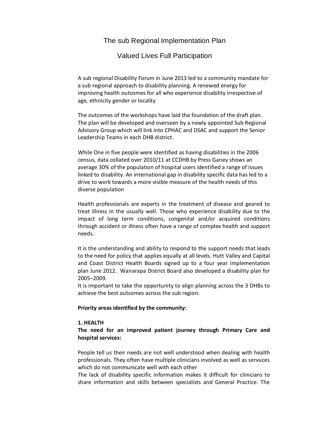## The sub Regional Implementation Plan

### Valued Lives Full Participation

A sub regional Disability Forum in June 2013 led to a community mandate for a sub regional approach to disability planning. A renewed energy for improving health outcomes for all who experience disability irrespective of age, ethnicity gender or locality

The outcomes of the workshops have laid the foundation of the draft plan. The plan will be developed and overseen by a newly appointed Sub Regional Advisory Group which will link into CPHAC and DSAC and support the Senior Leadership Teams in each DHB district.

While One in five people were identified as having disabilities in the 2006 census, data collated over 2010/11 at CCDHB by Press Ganey shows an average 30% of the population of hospital users identified a range of issues linked to disability. An international gap in disability specific data has led to a drive to work towards a more visible measure of the health needs of this diverse population

Health professionals are experts in the treatment of disease and geared to treat illness in the usually well. Those who experience disability due to the impact of long term conditions, congenital and/or acquired conditions through accident or illness often have a range of complex health and support needs.

It is the understanding and ability to respond to the support needs that leads to the need for policy that applies equally at all levels. Hutt Valley and Capital and Coast District Health Boards signed up to a four year implementation plan June 2012. Wairarapa District Board also developed a disability plan for 2005–2009.

It is important to take the opportunity to align planning across the 3 DHBs to achieve the best outcomes across the sub region.

#### **Priority areas identified by the community:**

#### **1. HEALTH**

#### **The need for an improved patient journey through Primary Care and hospital services:**

People tell us their needs are not well understood when dealing with health professionals. They often have multiple clinicians involved as well as servuces which do not communicate well with each other

The lack of disability specific information makes it difficult for clinicians to share information and skills between specialists and General Practice. The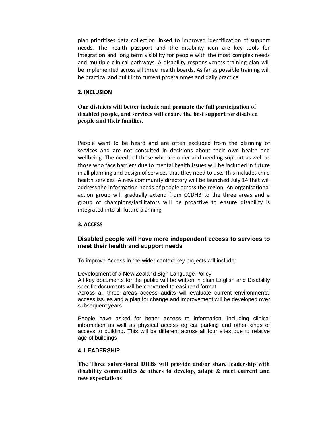plan prioritises data collection linked to improved identification of support needs. The health passport and the disability icon are key tools for integration and long term visibility for people with the most complex needs and multiple clinical pathways. A disability responsiveness training plan will be implemented across all three health boards. As far as possible training will be practical and built into current programmes and daily practice

#### **2. INCLUSION**

#### **Our districts will better include and promote the full participation of disabled people, and services will ensure the best support for disabled people and their families**.

People want to be heard and are often excluded from the planning of services and are not consulted in decisions about their own health and wellbeing. The needs of those who are older and needing support as well as those who face barriers due to mental health issues will be included in future in all planning and design of services that they need to use. This includes child health services .A new community directory will be launched July 14 that will address the information needs of people across the region. An organisational action group will gradually extend from CCDHB to the three areas and a group of champions/facilitators will be proactive to ensure disability is integrated into all future planning

#### **3. ACCESS**

#### **Disabled people will have more independent access to services to meet their health and support needs**

To improve Access in the wider context key projects will include:

Development of a New Zealand Sign Language Policy All key documents for the public will be written in plain English and Disability specific documents will be converted to easi read format Across all three areas access audits will evaluate current environmental access issues and a plan for change and improvement will be developed over

subsequent years

People have asked for better access to information, including clinical information as well as physical access eg car parking and other kinds of access to building. This will be different across all four sites due to relative age of buildings

#### **4. LEADERSHIP**

**The Three subregional DHBs will provide and/or share leadership with disability communities & others to develop, adapt & meet current and new expectations**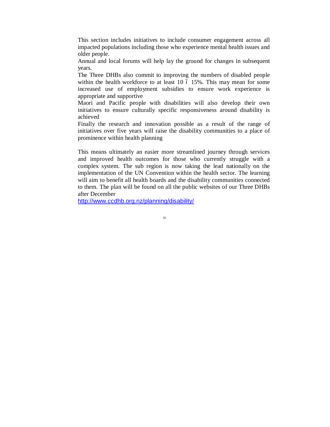This section includes initiatives to include consumer engagement across all impacted populations including those who experience mental health issues and older people.

Annual and local forums will help lay the ground for changes in subsequent years.

The Three DHBs also commit to improving the numbers of disabled people within the health workforce to at least  $10\,$  ó  $15\%$ . This may mean for some increased use of employment subsidies to ensure work experience is appropriate and supportive

Maori and Pacific people with disabilities will also develop their own initiatives to ensure culturally specific responsiveness around disability is achieved

Finally the research and innovation possible as a result of the range of initiatives over five years will raise the disability communities to a place of prominence within health planning

This means ultimately an easier more streamlined journey through services and improved health outcomes for those who currently struggle with a complex system. The sub region is now taking the lead nationally on the implementation of the UN Convention within the health sector. The learning will aim to benefit all health boards and the disability communities connected to them. The plan will be found on all the public websites of our Three DHBs after December

http://www.ccdhb.org.nz/planning/disability/

[=](http://www.ccdhb.org.nz/planning/disability/)